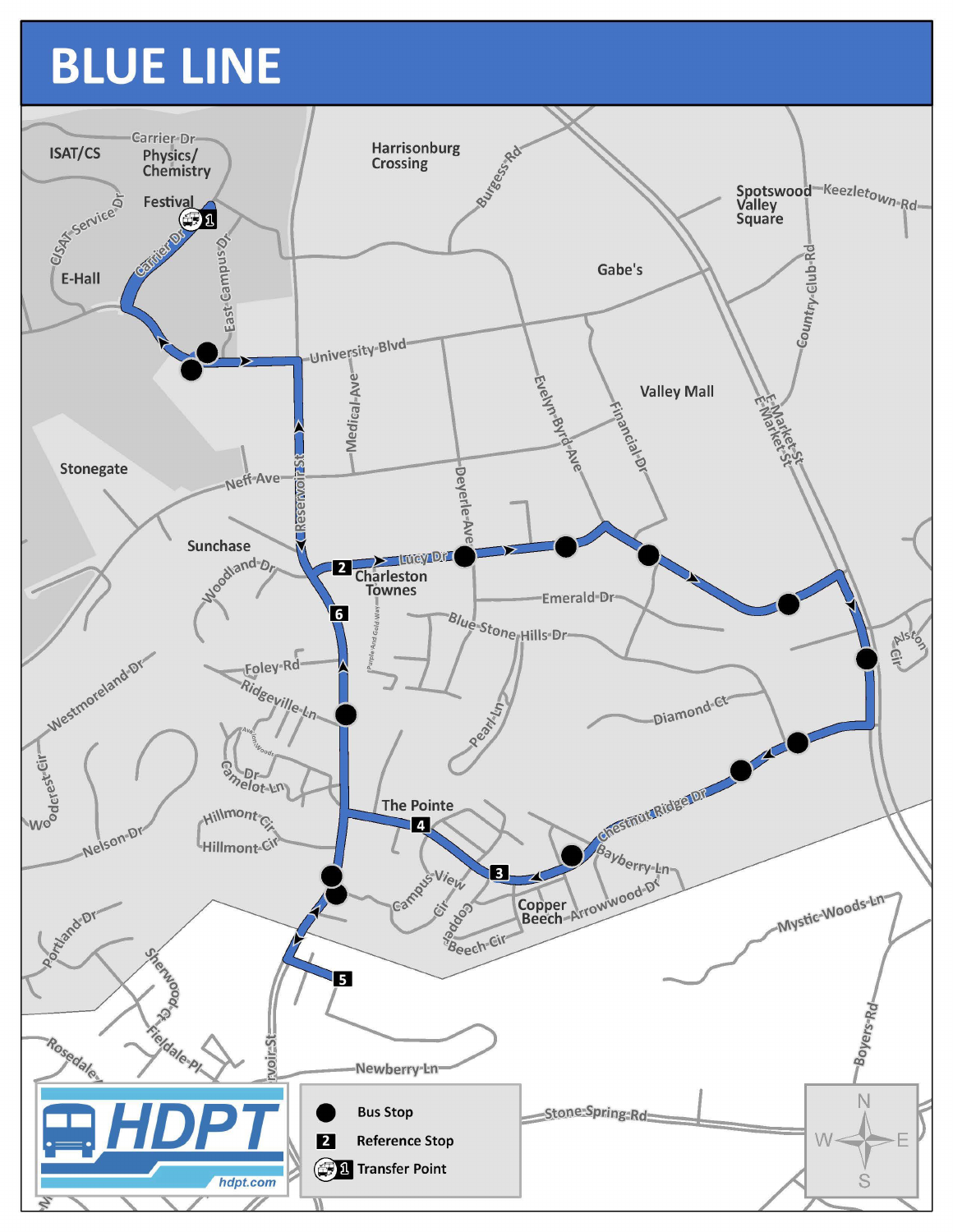## BLUE LINE